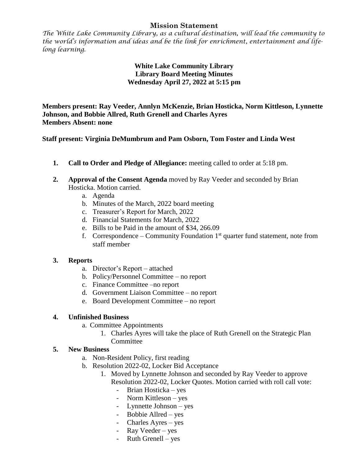## **Mission Statement**

*The White Lake Community Library, as a cultural destination, will lead the community to the world's information and ideas and be the link for enrichment, entertainment and lifelong learning.*

## **White Lake Community Library Library Board Meeting Minutes Wednesday April 27, 2022 at 5:15 pm**

**Members present: Ray Veeder, Annlyn McKenzie, Brian Hosticka, Norm Kittleson, Lynnette Johnson, and Bobbie Allred, Ruth Grenell and Charles Ayres Members Absent: none**

**Staff present: Virginia DeMumbrum and Pam Osborn, Tom Foster and Linda West**

- **1. Call to Order and Pledge of Allegiance:** meeting called to order at 5:18 pm.
- **2. Approval of the Consent Agenda** moved by Ray Veeder and seconded by Brian Hosticka. Motion carried.
	- a. Agenda
	- b. Minutes of the March, 2022 board meeting
	- c. Treasurer's Report for March, 2022
	- d. Financial Statements for March, 2022
	- e. Bills to be Paid in the amount of \$34, 266.09
	- f. Correspondence Community Foundation  $1<sup>st</sup>$  quarter fund statement, note from staff member

#### **3. Reports**

- a. Director's Report attached
- b. Policy/Personnel Committee no report
- c. Finance Committee –no report
- d. Government Liaison Committee no report
- e. Board Development Committee no report

#### **4. Unfinished Business**

- a. Committee Appointments
	- 1. Charles Ayres will take the place of Ruth Grenell on the Strategic Plan Committee

# **5. New Business**

- a. Non-Resident Policy, first reading
- b. Resolution 2022-02, Locker Bid Acceptance
	- 1. Moved by Lynnette Johnson and seconded by Ray Veeder to approve Resolution 2022-02, Locker Quotes. Motion carried with roll call vote:
		- Brian Hosticka yes
		- Norm Kittleson yes
		- Lynnette Johnson yes
		- Bobbie Allred yes
		- Charles Ayres yes
		- Ray Veeder yes
		- $Ruth$  Grenell yes